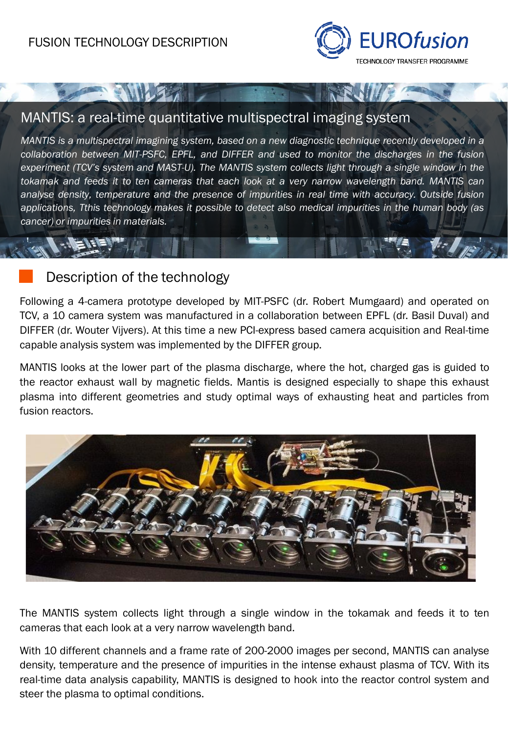**SWILS 7 1** 



### MANTIS: a real-time quantitative multispectral imaging system

*MANTIS is a multispectral imagining system, based on a new diagnostic technique recently developed in a collaboration between MIT-PSFC, EPFL, and DIFFER and used to monitor the discharges in the fusion experiment (TCV's system and MAST-U). The MANTIS system collects light through a single window in the tokamak and feeds it to ten cameras that each look at a very narrow wavelength band. MANTIS can analyse density, temperature and the presence of impurities in real time with accuracy. Outside fusion applications, Tthis technology makes it possible to detect also medical impurities in the human body (as cancer) or impurities in materials.*

#### Description of the technology

Following a 4-camera prototype developed by MIT-PSFC (dr. Robert Mumgaard) and operated on TCV, a 10 camera system was manufactured in a collaboration between EPFL (dr. Basil Duval) and DIFFER (dr. Wouter Vijvers). At this time a new PCI-express based camera acquisition and Real-time capable analysis system was implemented by the DIFFER group.

MANTIS looks at the lower part of the plasma discharge, where the hot, charged gas is guided to the reactor exhaust wall by magnetic fields. Mantis is designed especially to shape this exhaust plasma into different geometries and study optimal ways of exhausting heat and particles from fusion reactors.



The MANTIS system collects light through a single window in the tokamak and feeds it to ten cameras that each look at a very narrow wavelength band.

With 10 different channels and a frame rate of 200-2000 images per second, MANTIS can analyse density, temperature and the presence of impurities in the intense exhaust plasma of TCV. With its real-time data analysis capability, MANTIS is designed to hook into the reactor control system and steer the plasma to optimal conditions.